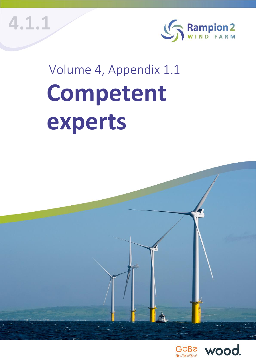**1** © Wood Environment & Infrastructure Solutions UK Limited **4.1.1**



## Volume 4, Appendix 1.1 **Competent experts**



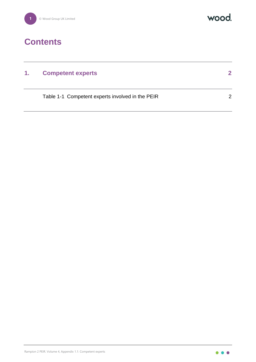



## **Contents**

| 1. | <b>Competent experts</b>                         |               |
|----|--------------------------------------------------|---------------|
|    | Table 1-1 Competent experts involved in the PEIR | $\mathcal{P}$ |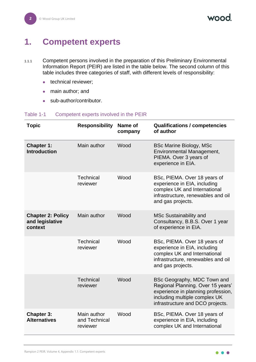MOOO

## <span id="page-2-0"></span>**1. Competent experts**

- 1.1.1 Competent persons involved in the preparation of this Preliminary Environmental Information Report (PEIR) are listed in the table below. The second column of this table includes three categories of staff, with different levels of responsibility:
	- technical reviewer;
	- main author; and
	- ⚫ sub-author/contributor.

## Table 1-1 Competent experts involved in the PEIR

| <b>Topic</b>                                           | <b>Responsibility</b>                    | Name of<br>company | <b>Qualifications / competencies</b><br>of author                                                                                                                           |
|--------------------------------------------------------|------------------------------------------|--------------------|-----------------------------------------------------------------------------------------------------------------------------------------------------------------------------|
| <b>Chapter 1:</b><br><b>Introduction</b>               | Main author                              | Wood               | <b>BSc Marine Biology, MSc</b><br>Environmental Management,<br>PIEMA. Over 3 years of<br>experience in EIA.                                                                 |
|                                                        | <b>Technical</b><br>reviewer             | Wood               | BSc, PIEMA. Over 18 years of<br>experience in EIA, including<br>complex UK and International<br>infrastructure, renewables and oil<br>and gas projects.                     |
| <b>Chapter 2: Policy</b><br>and legislative<br>context | Main author                              | Wood               | <b>MSc Sustainability and</b><br>Consultancy, B.B.S. Over 1 year<br>of experience in EIA.                                                                                   |
|                                                        | <b>Technical</b><br>reviewer             | Wood               | BSc, PIEMA. Over 18 years of<br>experience in EIA, including<br>complex UK and International<br>infrastructure, renewables and oil<br>and gas projects.                     |
|                                                        | <b>Technical</b><br>reviewer             | Wood               | BSc Geography, MDC Town and<br>Regional Planning. Over 15 years'<br>experience in planning profession,<br>including multiple complex UK<br>infrastructure and DCO projects. |
| <b>Chapter 3:</b><br><b>Alternatives</b>               | Main author<br>and Technical<br>reviewer | Wood               | BSc, PIEMA. Over 18 years of<br>experience in EIA, including<br>complex UK and International                                                                                |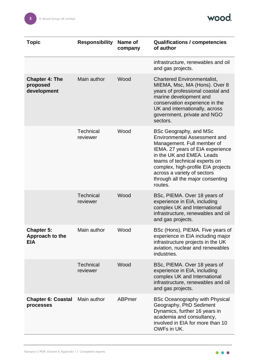

| Topic                                              | <b>Responsibility</b>        | Name of<br>company | <b>Qualifications / competencies</b><br>of author                                                                                                                                                                                                                                                                 |
|----------------------------------------------------|------------------------------|--------------------|-------------------------------------------------------------------------------------------------------------------------------------------------------------------------------------------------------------------------------------------------------------------------------------------------------------------|
|                                                    |                              |                    | infrastructure, renewables and oil<br>and gas projects.                                                                                                                                                                                                                                                           |
| <b>Chapter 4: The</b><br>proposed<br>development   | Main author                  | Wood               | <b>Chartered Environmentalist,</b><br>MIEMA, Msc, MA (Hons). Over 8<br>years of professional coastal and<br>marine development and<br>conservation experience in the<br>UK and internationally, across<br>government, private and NGO<br>sectors.                                                                 |
|                                                    | <b>Technical</b><br>reviewer | Wood               | BSc Geography, and MSc<br><b>Environmental Assessment and</b><br>Management. Full member of<br>IEMA. 27 years of EIA experience<br>in the UK and EMEA. Leads<br>teams of technical experts on<br>complex, high-profile EIA projects<br>across a variety of sectors<br>through all the major consenting<br>routes. |
|                                                    | <b>Technical</b><br>reviewer | Wood               | BSc, PIEMA. Over 18 years of<br>experience in EIA, including<br>complex UK and International<br>infrastructure, renewables and oil<br>and gas projects.                                                                                                                                                           |
| <b>Chapter 5:</b><br>Approach to the<br><b>EIA</b> | Main author                  | Wood               | BSc (Hons), PIEMA. Five years of<br>experience in EIA including major<br>infrastructure projects in the UK<br>aviation, nuclear and renewables<br>industries.                                                                                                                                                     |
|                                                    | <b>Technical</b><br>reviewer | Wood               | BSc, PIEMA. Over 18 years of<br>experience in EIA, including<br>complex UK and International<br>infrastructure, renewables and oil<br>and gas projects.                                                                                                                                                           |
| <b>Chapter 6: Coastal</b><br>processes             | Main author                  | <b>ABPmer</b>      | <b>BSc Oceanography with Physical</b><br>Geography, PhD Sediment<br>Dynamics, further 16 years in<br>academia and consultancy,<br>involved in EIA for more than 10<br>OWFs in UK.                                                                                                                                 |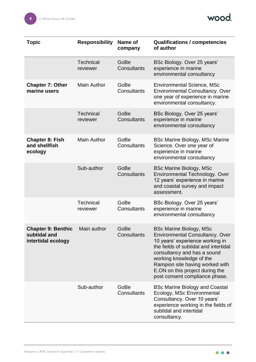

| <b>Topic</b>                                                    | <b>Responsibility</b>        | Name of<br>company         | <b>Qualifications / competencies</b><br>of author                                                                                                                                                                                                                                                                       |
|-----------------------------------------------------------------|------------------------------|----------------------------|-------------------------------------------------------------------------------------------------------------------------------------------------------------------------------------------------------------------------------------------------------------------------------------------------------------------------|
|                                                                 | <b>Technical</b><br>reviewer | GoBe<br><b>Consultants</b> | BSc Biology. Over 25 years'<br>experience in marine<br>environmental consultancy                                                                                                                                                                                                                                        |
| <b>Chapter 7: Other</b><br>marine users                         | <b>Main Author</b>           | GoBe<br>Consultants        | <b>Environmental Science, MSc</b><br><b>Environmental Consultancy. Over</b><br>one year of experience in marine<br>environmental consultancy.                                                                                                                                                                           |
|                                                                 | <b>Technical</b><br>reviewer | GoBe<br>Consultants        | BSc Biology. Over 25 years'<br>experience in marine<br>environmental consultancy                                                                                                                                                                                                                                        |
| <b>Chapter 8: Fish</b><br>and shellfish<br>ecology              | Main Author                  | GoBe<br>Consultants        | <b>BSc Marine Biology, MSc Marine</b><br>Science. Over one year of<br>experience in marine<br>environmental consultancy                                                                                                                                                                                                 |
|                                                                 | Sub-author                   | GoBe<br><b>Consultants</b> | <b>BSc Marine Biology, MSc</b><br>Environmental Technology. Over<br>12 years' experience in marine<br>and coastal survey and impact<br>assessment.                                                                                                                                                                      |
|                                                                 | <b>Technical</b><br>reviewer | GoBe<br>Consultants        | BSc Biology. Over 25 years'<br>experience in marine<br>environmental consultancy                                                                                                                                                                                                                                        |
| <b>Chapter 9: Benthic</b><br>subtidal and<br>intertidal ecology | Main author                  | GoBe<br><b>Consultants</b> | <b>BSc Marine Biology, MSc</b><br><b>Environmental Consultancy. Over</b><br>10 years' experience working in<br>the fields of subtidal and intertidal<br>consultancy and has a sound<br>working knowledge of the<br>Rampion site having worked with<br>E.ON on this project during the<br>post consent compliance phase. |
|                                                                 | Sub-author                   | GoBe<br>Consultants        | <b>BSc Marine Biology and Coastal</b><br>Ecology, MSc Environmental<br>Consultancy. Over 10 years'<br>experience working in the fields of<br>subtidal and intertidal<br>consultancy.                                                                                                                                    |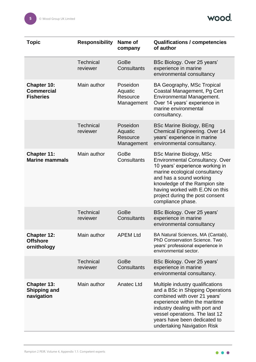

| Topic                                                       | <b>Responsibility</b>        | Name of<br>company                            | <b>Qualifications / competencies</b><br>of author                                                                                                                                                                                                                                            |
|-------------------------------------------------------------|------------------------------|-----------------------------------------------|----------------------------------------------------------------------------------------------------------------------------------------------------------------------------------------------------------------------------------------------------------------------------------------------|
|                                                             | <b>Technical</b><br>reviewer | GoBe<br>Consultants                           | BSc Biology. Over 25 years'<br>experience in marine<br>environmental consultancy                                                                                                                                                                                                             |
| <b>Chapter 10:</b><br><b>Commercial</b><br><b>Fisheries</b> | Main author                  | Poseidon<br>Aquatic<br>Resource<br>Management | <b>BA Geography, MSc Tropical</b><br>Coastal Management, Pg Cert<br>Environmental Management.<br>Over 14 years' experience in<br>marine environmental<br>consultancy.                                                                                                                        |
|                                                             | <b>Technical</b><br>reviewer | Poseidon<br>Aquatic<br>Resource<br>Management | <b>BSc Marine Biology, BEng</b><br><b>Chemical Engineering. Over 14</b><br>years' experience in marine<br>environmental consultancy.                                                                                                                                                         |
| <b>Chapter 11:</b><br><b>Marine mammals</b>                 | Main author                  | GoBe<br>Consultants                           | <b>BSc Marine Biology, MSc</b><br>Environmental Consultancy. Over<br>10 years' experience working in<br>marine ecological consultancy<br>and has a sound working<br>knowledge of the Rampion site<br>having worked with E.ON on this<br>project during the post consent<br>compliance phase. |
|                                                             | <b>Technical</b><br>reviewer | GoBe<br>Consultants                           | BSc Biology. Over 25 years'<br>experience in marine<br>environmental consultancy                                                                                                                                                                                                             |
| <b>Chapter 12:</b><br><b>Offshore</b><br>ornithology        | Main author                  | <b>APEM Ltd</b>                               | BA Natural Sciences, MA (Cantab),<br>PhD Conservation Science. Two<br>years' professional experience in<br>environmental sector.                                                                                                                                                             |
|                                                             | <b>Technical</b><br>reviewer | GoBe<br>Consultants                           | BSc Biology. Over 25 years'<br>experience in marine<br>environmental consultancy.                                                                                                                                                                                                            |
| <b>Chapter 13:</b><br><b>Shipping and</b><br>navigation     | Main author                  | Anatec Ltd                                    | Multiple industry qualifications<br>and a BSc in Shipping Operations<br>combined with over 21 years'<br>experience within the maritime<br>industry dealing with port and<br>vessel operations. The last 12<br>years have been dedicated to<br>undertaking Navigation Risk                    |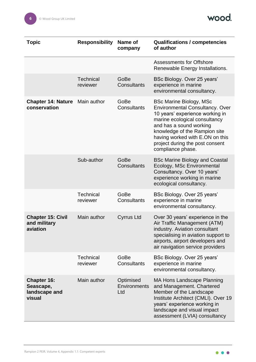

| Topic                                                      | <b>Responsibility</b>        | Name of<br>company               | <b>Qualifications / competencies</b><br>of author                                                                                                                                                                                                                                                   |
|------------------------------------------------------------|------------------------------|----------------------------------|-----------------------------------------------------------------------------------------------------------------------------------------------------------------------------------------------------------------------------------------------------------------------------------------------------|
|                                                            |                              |                                  | <b>Assessments for Offshore</b><br>Renewable Energy Installations.                                                                                                                                                                                                                                  |
|                                                            | <b>Technical</b><br>reviewer | GoBe<br>Consultants              | BSc Biology. Over 25 years'<br>experience in marine<br>environmental consultancy.                                                                                                                                                                                                                   |
| <b>Chapter 14: Nature</b><br>conservation                  | Main author                  | GoBe<br>Consultants              | <b>BSc Marine Biology, MSc</b><br><b>Environmental Consultancy. Over</b><br>10 years' experience working in<br>marine ecological consultancy<br>and has a sound working<br>knowledge of the Rampion site<br>having worked with E.ON on this<br>project during the post consent<br>compliance phase. |
|                                                            | Sub-author                   | GoBe<br>Consultants              | <b>BSc Marine Biology and Coastal</b><br>Ecology, MSc Environmental<br>Consultancy. Over 10 years'<br>experience working in marine<br>ecological consultancy.                                                                                                                                       |
|                                                            | <b>Technical</b><br>reviewer | GoBe<br>Consultants              | BSc Biology. Over 25 years'<br>experience in marine<br>environmental consultancy.                                                                                                                                                                                                                   |
| <b>Chapter 15: Civil</b><br>and military<br>aviation       | Main author                  | <b>Cyrrus Ltd</b>                | Over 30 years' experience in the<br>Air Traffic Management (ATM)<br>industry. Aviation consultant<br>specialising in aviation support to<br>airports, airport developers and<br>air navigation service providers                                                                                    |
|                                                            | <b>Technical</b><br>reviewer | GoBe<br>Consultants              | BSc Biology. Over 25 years'<br>experience in marine<br>environmental consultancy.                                                                                                                                                                                                                   |
| <b>Chapter 16:</b><br>Seascape,<br>landscape and<br>visual | Main author                  | Optimised<br>Environments<br>Ltd | <b>MA Hons Landscape Planning</b><br>and Management. Chartered<br>Member of the Landscape<br>Institute Architect (CMLI). Over 19<br>years' experience working in<br>landscape and visual impact<br>assessment (LVIA) consultancy                                                                    |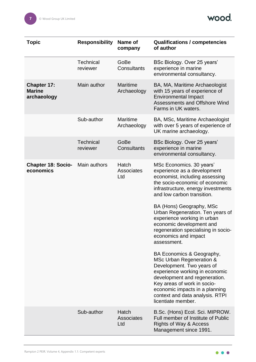

| Topic                                              | <b>Responsibility</b>        | Name of<br>company             | <b>Qualifications / competencies</b><br>of author                                                                                                                                                                                                                               |
|----------------------------------------------------|------------------------------|--------------------------------|---------------------------------------------------------------------------------------------------------------------------------------------------------------------------------------------------------------------------------------------------------------------------------|
|                                                    | <b>Technical</b><br>reviewer | GoBe<br>Consultants            | BSc Biology. Over 25 years'<br>experience in marine<br>environmental consultancy.                                                                                                                                                                                               |
| <b>Chapter 17:</b><br><b>Marine</b><br>archaeology | Main author                  | <b>Maritime</b><br>Archaeology | BA, MA, Maritime Archaeologist<br>with 15 years of experience of<br><b>Environmental Impact</b><br><b>Assessments and Offshore Wind</b><br>Farms in UK waters.                                                                                                                  |
|                                                    | Sub-author                   | Maritime<br>Archaeology        | BA, MSc, Maritime Archaeologist<br>with over 5 years of experience of<br>UK marine archaeology.                                                                                                                                                                                 |
|                                                    | <b>Technical</b><br>reviewer | GoBe<br>Consultants            | BSc Biology. Over 25 years'<br>experience in marine<br>environmental consultancy.                                                                                                                                                                                               |
| <b>Chapter 18: Socio-</b><br>economics             | Main authors                 | Hatch<br>Associates<br>Ltd     | MSc Economics. 30 years'<br>experience as a development<br>economist, including assessing<br>the socio-economic of economic<br>infrastructure, energy investments<br>and low carbon transition.                                                                                 |
|                                                    |                              |                                | BA (Hons) Geography, MSc<br>Urban Regeneration. Ten years of<br>experience working in urban<br>economic development and<br>regeneration specialising in socio-<br>economics and impact<br>assessment.                                                                           |
|                                                    |                              |                                | BA Economics & Geography,<br>MSc Urban Regeneration &<br>Development. Two years of<br>experience working in economic<br>development and regeneration.<br>Key areas of work in socio-<br>economic impacts in a planning<br>context and data analysis. RTPI<br>licentiate member. |
|                                                    | Sub-author                   | Hatch<br>Associates<br>Ltd     | B.Sc. (Hons) Ecol. Sci. MIPROW.<br>Full member of Institute of Public<br><b>Rights of Way &amp; Access</b><br>Management since 1991.                                                                                                                                            |
|                                                    |                              |                                |                                                                                                                                                                                                                                                                                 |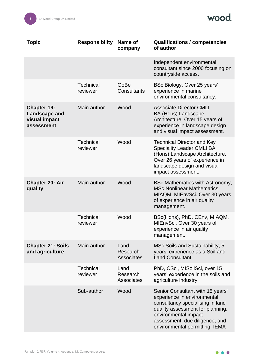

| <b>Topic</b>                                                              | <b>Responsibility</b>        | Name of<br>company                    | <b>Qualifications / competencies</b><br>of author                                                                                                                                                                                   |
|---------------------------------------------------------------------------|------------------------------|---------------------------------------|-------------------------------------------------------------------------------------------------------------------------------------------------------------------------------------------------------------------------------------|
|                                                                           |                              |                                       | Independent environmental<br>consultant since 2000 focusing on<br>countryside access.                                                                                                                                               |
|                                                                           | <b>Technical</b><br>reviewer | GoBe<br>Consultants                   | BSc Biology. Over 25 years'<br>experience in marine<br>environmental consultancy.                                                                                                                                                   |
| <b>Chapter 19:</b><br><b>Landscape and</b><br>visual impact<br>assessment | Main author                  | Wood                                  | <b>Associate Director CMLI</b><br>BA (Hons) Landscape<br>Architecture. Over 15 years of<br>experience in landscape design<br>and visual impact assessment.                                                                          |
|                                                                           | <b>Technical</b><br>reviewer | Wood                                  | <b>Technical Director and Key</b><br><b>Speciality Leader CMLI BA</b><br>(Hons) Landscape Architecture.<br>Over 26 years of experience in<br>landscape design and visual<br>impact assessment.                                      |
| <b>Chapter 20: Air</b><br>quality                                         | Main author                  | Wood                                  | BSc Mathematics with Astronomy,<br><b>MSc Nonlinear Mathematics.</b><br>MIAQM, MIEnvSci. Over 30 years<br>of experience in air quality<br>management.                                                                               |
|                                                                           | <b>Technical</b><br>reviewer | Wood                                  | BSc(Hons), PhD. CEnv, MIAQM,<br>MIEnvSci. Over 30 years of<br>experience in air quality<br>management.                                                                                                                              |
| <b>Chapter 21: Soils</b><br>and agriculture                               | Main author                  | Land<br>Research<br><b>Associates</b> | MSc Soils and Sustainability, 5<br>years' experience as a Soil and<br><b>Land Consultant</b>                                                                                                                                        |
|                                                                           | <b>Technical</b><br>reviewer | Land<br>Research<br><b>Associates</b> | PhD, CSci, MISoilSci, over 15<br>years' experience in the soils and<br>agriculture industry                                                                                                                                         |
|                                                                           | Sub-author                   | Wood                                  | Senior Consultant with 15 years'<br>experience in environmental<br>consultancy specialising in land<br>quality assessment for planning,<br>environmental impact<br>assessment, due diligence, and<br>environmental permitting. IEMA |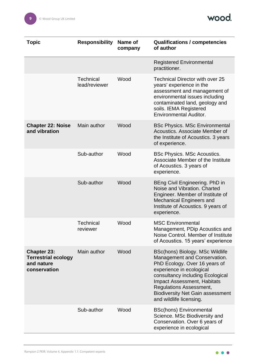

| <b>Topic</b>                                                                   | <b>Responsibility</b>             | Name of<br>company | <b>Qualifications / competencies</b><br>of author                                                                                                                                                                                                                                                              |
|--------------------------------------------------------------------------------|-----------------------------------|--------------------|----------------------------------------------------------------------------------------------------------------------------------------------------------------------------------------------------------------------------------------------------------------------------------------------------------------|
|                                                                                |                                   |                    | <b>Registered Environmental</b><br>practitioner.                                                                                                                                                                                                                                                               |
|                                                                                | <b>Technical</b><br>lead/reviewer | Wood               | <b>Technical Director with over 25</b><br>years' experience in the<br>assessment and management of<br>environmental issues including<br>contaminated land, geology and<br>soils. IEMA Registered<br><b>Environmental Auditor.</b>                                                                              |
| <b>Chapter 22: Noise</b><br>and vibration                                      | Main author                       | Wood               | <b>BSc Physics. MSc Environmental</b><br>Acoustics. Associate Member of<br>the Institute of Acoustics. 3 years<br>of experience.                                                                                                                                                                               |
|                                                                                | Sub-author                        | Wood               | <b>BSc Physics. MSc Acoustics.</b><br>Associate Member of the Institute<br>of Acoustics. 3 years of<br>experience.                                                                                                                                                                                             |
|                                                                                | Sub-author                        | Wood               | BEng Civil Engineering. PhD in<br>Noise and Vibration. Charted<br>Engineer. Member of Institute of<br><b>Mechanical Engineers and</b><br>Institute of Acoustics. 9 years of<br>experience.                                                                                                                     |
|                                                                                | <b>Technical</b><br>reviewer      | Wood               | <b>MSC Environmental</b><br>Management, PDip Acoustics and<br>Noise Control, Member of Institute<br>of Acoustics. 15 years' experience                                                                                                                                                                         |
| <b>Chapter 23:</b><br><b>Terrestrial ecology</b><br>and nature<br>conservation | Main author                       | Wood               | BSc(hons) Biology. MSc Wildlife<br>Management and Conservation.<br>PhD Ecology. Over 16 years of<br>experience in ecological<br>consultancy including Ecological<br><b>Impact Assessment, Habitats</b><br><b>Regulations Assessment,</b><br><b>Biodiversity Net Gain assessment</b><br>and wildlife licensing. |
|                                                                                | Sub-author                        | Wood               | <b>BSc(hons) Environmental</b><br>Science. MSc Biodiversity and<br>Conservation. Over 6 years of<br>experience in ecological                                                                                                                                                                                   |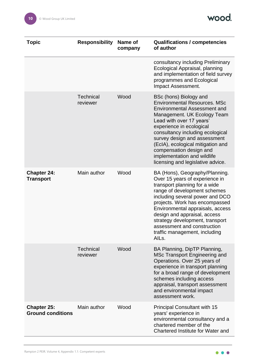

| <b>Topic</b>                                   | <b>Responsibility</b>        | Name of<br>company | <b>Qualifications / competencies</b><br>of author                                                                                                                                                                                                                                                                                                                                                   |
|------------------------------------------------|------------------------------|--------------------|-----------------------------------------------------------------------------------------------------------------------------------------------------------------------------------------------------------------------------------------------------------------------------------------------------------------------------------------------------------------------------------------------------|
|                                                |                              |                    | consultancy including Preliminary<br>Ecological Appraisal, planning<br>and implementation of field survey<br>programmes and Ecological<br>Impact Assessment.                                                                                                                                                                                                                                        |
|                                                | <b>Technical</b><br>reviewer | Wood               | BSc (hons) Biology and<br><b>Environmental Resources, MSc</b><br><b>Environmental Assessment and</b><br>Management. UK Ecology Team<br>Lead with over 17 years'<br>experience in ecological<br>consultancy including ecological<br>survey design and assessment<br>(EcIA), ecological mitigation and<br>compensation design and<br>implementation and wildlife<br>licensing and legislative advice. |
| <b>Chapter 24:</b><br><b>Transport</b>         | Main author                  | Wood               | BA (Hons), Geography/Planning.<br>Over 15 years of experience in<br>transport planning for a wide<br>range of development schemes<br>including several power and DCO<br>projects. Work has encompassed<br>Environmental appraisals, access<br>design and appraisal, access<br>strategy development, transport<br>assessment and construction<br>traffic management, including<br>AILs.              |
|                                                | <b>Technical</b><br>reviewer | Wood               | BA Planning, DipTP Planning,<br>MSc Transport Engineering and<br>Operations. Over 25 years of<br>experience in transport planning<br>for a broad range of development<br>schemes including access<br>appraisal, transport assessment<br>and environmental impact<br>assessment work.                                                                                                                |
| <b>Chapter 25:</b><br><b>Ground conditions</b> | Main author                  | Wood               | <b>Principal Consultant with 15</b><br>years' experience in<br>environmental consultancy and a<br>chartered member of the<br>Chartered Institute for Water and                                                                                                                                                                                                                                      |

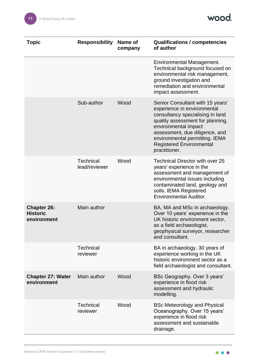

| <b>Topic</b>                                         | <b>Responsibility</b>        | Name of<br>company | <b>Qualifications / competencies</b><br>of author                                                                                                                                                                                                                                       |
|------------------------------------------------------|------------------------------|--------------------|-----------------------------------------------------------------------------------------------------------------------------------------------------------------------------------------------------------------------------------------------------------------------------------------|
|                                                      |                              |                    | Environmental Management.<br>Technical background focused on<br>environmental risk management,<br>ground investigation and<br>remediation and environmental<br>impact assessment.                                                                                                       |
|                                                      | Sub-author                   | Wood               | Senior Consultant with 15 years'<br>experience in environmental<br>consultancy specialising in land<br>quality assessment for planning,<br>environmental impact<br>assessment, due diligence, and<br>environmental permitting. IEMA<br><b>Registered Environmental</b><br>practitioner. |
|                                                      | Technical<br>lead/reviewer   | Wood               | <b>Technical Director with over 25</b><br>years' experience in the<br>assessment and management of<br>environmental issues including<br>contaminated land, geology and<br>soils. IEMA Registered<br><b>Environmental Auditor.</b>                                                       |
| <b>Chapter 26:</b><br><b>Historic</b><br>environment | Main author                  |                    | BA, MA and MSc in archaeology.<br>Over 10 years' experience in the<br>UK historic environment sector,<br>as a field archaeologist,<br>geophysical surveyor, researcher<br>and consultant.                                                                                               |
|                                                      | <b>Technical</b><br>reviewer |                    | BA in archaeology. 30 years of<br>experience working in the UK<br>historic environment sector as a<br>field archaeologist and consultant.                                                                                                                                               |
| <b>Chapter 27: Water</b><br>environment              | Main author                  | Wood               | BSc Geography. Over 3 years'<br>experience in flood risk<br>assessment and hydraulic<br>modelling.                                                                                                                                                                                      |
|                                                      | <b>Technical</b><br>reviewer | Wood               | <b>BSc Meteorology and Physical</b><br>Oceanography. Over 15 years'<br>experience in flood risk<br>assessment and sustainable<br>drainage.                                                                                                                                              |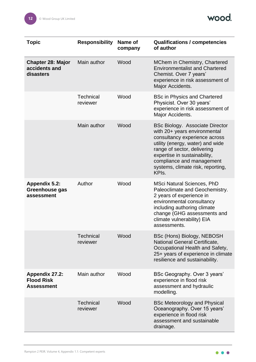

| Topic                                                           | <b>Responsibility</b>        | Name of<br>company | <b>Qualifications / competencies</b><br>of author                                                                                                                                                                                                                                                  |
|-----------------------------------------------------------------|------------------------------|--------------------|----------------------------------------------------------------------------------------------------------------------------------------------------------------------------------------------------------------------------------------------------------------------------------------------------|
| <b>Chapter 28: Major</b><br>accidents and<br>disasters          | Main author                  | Wood               | MChem in Chemistry, Chartered<br><b>Environmentalist and Chartered</b><br>Chemist. Over 7 years'<br>experience in risk assessment of<br>Major Accidents.                                                                                                                                           |
|                                                                 | <b>Technical</b><br>reviewer | Wood               | <b>BSc in Physics and Chartered</b><br>Physicist. Over 30 years'<br>experience in risk assessment of<br>Major Accidents.                                                                                                                                                                           |
|                                                                 | Main author                  | Wood               | <b>BSc Biology. Associate Director</b><br>with 20+ years environmental<br>consultancy experience across<br>utility (energy, water) and wide<br>range of sector, delivering<br>expertise in sustainability,<br>compliance and management<br>systems, climate risk, reporting,<br>KPI <sub>s</sub> . |
| <b>Appendix 5.2:</b><br>Greenhouse gas<br>assessment            | Author                       | Wood               | <b>MSci Natural Sciences, PhD</b><br>Paleoclimate and Geochemistry.<br>2 years of experience in<br>environmental consultancy<br>including authoring climate<br>change (GHG assessments and<br>climate vulnerability) EIA<br>assessments.                                                           |
|                                                                 | <b>Technical</b><br>reviewer | Wood               | BSc (Hons) Biology, NEBOSH<br><b>National General Certificate,</b><br>Occupational Health and Safety,<br>25+ years of experience in climate<br>resilience and sustainability.                                                                                                                      |
| <b>Appendix 27.2:</b><br><b>Flood Risk</b><br><b>Assessment</b> | Main author                  | Wood               | BSc Geography. Over 3 years'<br>experience in flood risk<br>assessment and hydraulic<br>modelling.                                                                                                                                                                                                 |
|                                                                 | <b>Technical</b><br>reviewer | Wood               | <b>BSc Meteorology and Physical</b><br>Oceanography. Over 15 years'<br>experience in flood risk<br>assessment and sustainable<br>drainage.                                                                                                                                                         |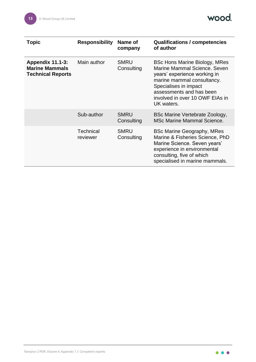

| <b>Topic</b>                                                                 | <b>Responsibility</b> | Name of<br>company        | <b>Qualifications / competencies</b><br>of author                                                                                                                                                                                        |
|------------------------------------------------------------------------------|-----------------------|---------------------------|------------------------------------------------------------------------------------------------------------------------------------------------------------------------------------------------------------------------------------------|
| <b>Appendix 11.1-3:</b><br><b>Marine Mammals</b><br><b>Technical Reports</b> | Main author           | <b>SMRU</b><br>Consulting | <b>BSc Hons Marine Biology, MRes</b><br>Marine Mammal Science, Seven<br>years' experience working in<br>marine mammal consultancy.<br>Specialises in impact<br>assessments and has been<br>involved in over 10 OWF EIAs in<br>UK waters. |
|                                                                              | Sub-author            | <b>SMRU</b><br>Consulting | BSc Marine Vertebrate Zoology,<br><b>MSc Marine Mammal Science.</b>                                                                                                                                                                      |
|                                                                              | Technical<br>reviewer | <b>SMRU</b><br>Consulting | <b>BSc Marine Geography, MRes</b><br>Marine & Fisheries Science, PhD<br>Marine Science. Seven years'<br>experience in environmental<br>consulting, five of which<br>specialised in marine mammals.                                       |